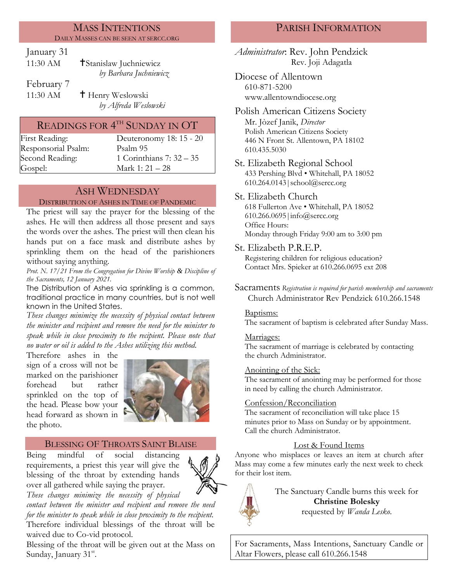#### MASS INTENTIONS DAILY MASSES CAN BE SEEN AT SERCC.ORG

January 31

| 11:30 AM   | <b>†Stanislaw Juchniewicz</b> |
|------------|-------------------------------|
|            | by Barbara Juchniewicz        |
| February 7 |                               |
| 11:30 AM   | <sup>†</sup> Henry Weslowski  |
|            |                               |

*by Alfreda Weslowski*

# READINGS FOR  $4^{\rm{th}}$  SUNDAY IN OT

Responsorial Psalm: [Psalm](http://www.usccb.org/bible/readings/bible/psalms/25:4) 95 Gospel: Mark 1: 21 – 28

First Reading: Deuteronomy 18: 15 - 20 Second Reading: 1 Corinthians 7: 32 – 35

## ASH WEDNESDAY

#### DISTRIBUTION OF ASHES IN TIME OF PANDEMIC

The priest will say the prayer for the blessing of the ashes. He will then address all those present and says the words over the ashes. The priest will then clean his hands put on a face mask and distribute ashes by sprinkling them on the head of the parishioners without saying anything*.*

*Prot. N. 17/21 From the Congregation for Divine Worship & Discipline of the Sacraments, 12 January 2021.*

The Distribution of Ashes via sprinkling is a common, traditional practice in many countries, but is not well known in the United States.

*These changes minimize the necessity of physical contact between the minister and recipient and remove the need for the minister to speak while in close proximity to the recipient. Please note that no water or oil is added to the Ashes utilizing this method.*

Therefore ashes in the sign of a cross will not be marked on the parishioner forehead but rather sprinkled on the top of the head. Please bow your head forward as shown in the photo.



## BLESSING OF THROATS SAINT BLAISE

Being mindful of social distancing requirements, a priest this year will give the blessing of the throat by extending hands over all gathered while saying the prayer.



*These changes minimize the necessity of physical contact between the minister and recipient and remove the need for the minister to speak while in close proximity to the recipient.*

Therefore individual blessings of the throat will be waived due to Co-vid protocol.

Blessing of the throat will be given out at the Mass on Sunday, January 31<sup>st</sup>.

## PARISH INFORMATION

*Administrator*: Rev. John Pendzick Rev. Joji Adagatla

Diocese of Allentown 610-871-5200 www.allentowndiocese.org

Polish American Citizens Society Mr. Jòzef Janik, *Director* Polish American Citizens Society 446 N Front St. Allentown, PA 18102 610.435.5030

St. Elizabeth Regional School 433 Pershing Blvd • Whitehall, PA 18052 610.264.0143|school@sercc.org

### St. Elizabeth Church

618 Fullerton Ave • Whitehall, PA 18052 610.266.0695|info@sercc.org Office Hours: Monday through Friday 9:00 am to 3:00 pm

St. Elizabeth P.R.E.P.

Registering children for religious education? Contact Mrs. Spieker at 610.266.0695 ext 208

Sacraments *Registration is required for parish membership and sacraments* Church Administrator Rev Pendzick 610.266.1548

#### Baptisms:

The sacrament of baptism is celebrated after Sunday Mass.

#### Marriages:

The sacrament of marriage is celebrated by contacting the church Administrator.

#### Anointing of the Sick:

The sacrament of anointing may be performed for those in need by calling the church Administrator.

#### Confession/Reconciliation

The sacrament of reconciliation will take place 15 minutes prior to Mass on Sunday or by appointment. Call the church Administrator.

## Lost & Found Items

Anyone who misplaces or leaves an item at church after Mass may come a few minutes early the next week to check for their lost item.



The Sanctuary Candle burns this week for **Christine Bolesky** requested by *Wanda Lesko*.

For Sacraments, Mass Intentions, Sanctuary Candle or Altar Flowers, please call 610.266.1548